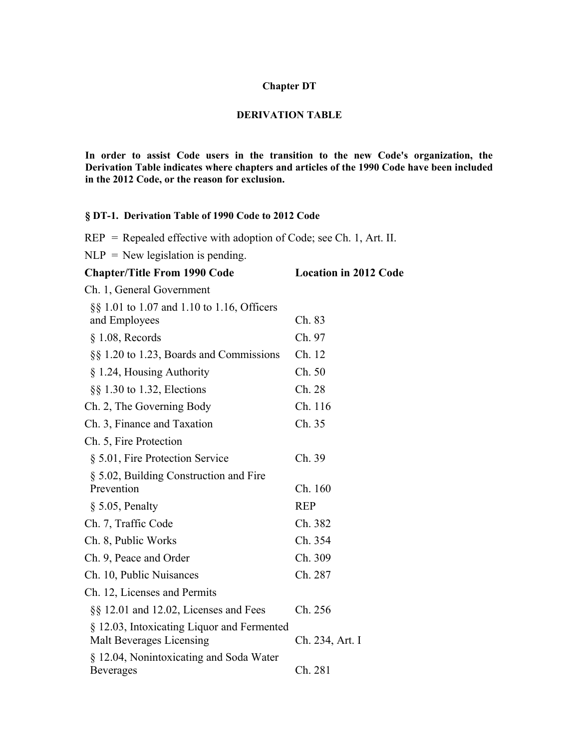## **Chapter DT**

## **DERIVATION TABLE**

**In order to assist Code users in the transition to the new Code's organization, the Derivation Table indicates where chapters and articles of the 1990 Code have been included in the 2012 Code, or the reason for exclusion.**

## **§ DT-1. Derivation Table of 1990 Code to 2012 Code**

REP = Repealed effective with adoption of Code; see Ch. 1, Art. II.

 $NLP = New legislation$  is pending.

| <b>Chapter/Title From 1990 Code</b>                         | <b>Location in 2012 Code</b> |
|-------------------------------------------------------------|------------------------------|
| Ch. 1, General Government                                   |                              |
| $\S$ 1.01 to 1.07 and 1.10 to 1.16, Officers                |                              |
| and Employees                                               | Ch. 83                       |
| $§$ 1.08, Records                                           | Ch. 97                       |
| $\S\S 1.20$ to 1.23, Boards and Commissions                 | Ch. 12                       |
| § 1.24, Housing Authority                                   | Ch. 50                       |
| $\S$ 1.30 to 1.32, Elections                                | Ch. 28                       |
| Ch. 2, The Governing Body                                   | Ch. 116                      |
| Ch. 3, Finance and Taxation                                 | Ch. 35                       |
| Ch. 5, Fire Protection                                      |                              |
| § 5.01, Fire Protection Service                             | Ch. 39                       |
| § 5.02, Building Construction and Fire                      |                              |
| Prevention                                                  | Ch. 160                      |
| $\S$ 5.05, Penalty                                          | <b>REP</b>                   |
| Ch. 7, Traffic Code                                         | Ch. 382                      |
| Ch. 8, Public Works                                         | Ch. 354                      |
| Ch. 9, Peace and Order                                      | Ch. 309                      |
| Ch. 10, Public Nuisances                                    | Ch. 287                      |
| Ch. 12, Licenses and Permits                                |                              |
| $\S\S$ 12.01 and 12.02, Licenses and Fees                   | Ch. 256                      |
| § 12.03, Intoxicating Liquor and Fermented                  |                              |
| Malt Beverages Licensing                                    | Ch. 234, Art. I              |
| § 12.04, Nonintoxicating and Soda Water<br><b>Beverages</b> | Ch. 281                      |